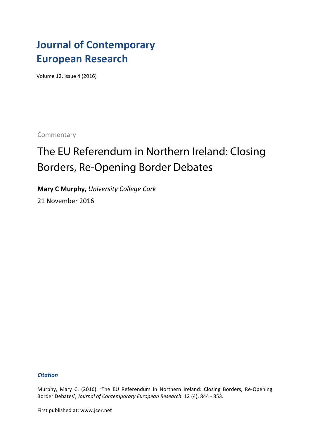## **Journal of Contemporary European Research**

Volume 12, Issue 4 (2016)

Commentary

# The EU Referendum in Northern Ireland: Closing Borders, Re-Opening Border Debates

**Mary C Murphy,** *University College Cork* 21 November 2016

#### *Citation*

Murphy, Mary C. (2016). 'The EU Referendum in Northern Ireland: Closing Borders, Re-Opening Border Debates', Journal of Contemporary European Research. 12 (4), 844 - 853.

First published at: www.jcer.net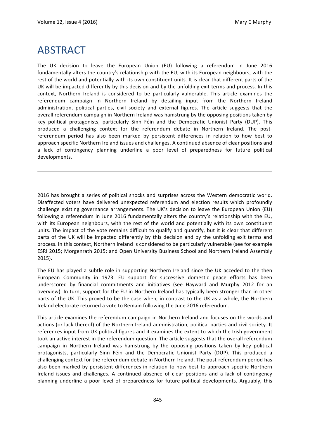### ABSTRACT

The UK decision to leave the European Union (EU) following a referendum in June 2016 fundamentally alters the country's relationship with the EU, with its European neighbours, with the rest of the world and potentially with its own constituent units. It is clear that different parts of the UK will be impacted differently by this decision and by the unfolding exit terms and process. In this context, Northern Ireland is considered to be particularly vulnerable. This article examines the referendum campaign in Northern Ireland by detailing input from the Northern Ireland administration, political parties, civil society and external figures. The article suggests that the overall referendum campaign in Northern Ireland was hamstrung by the opposing positions taken by key political protagonists, particularly Sinn Féin and the Democratic Unionist Party (DUP). This produced a challenging context for the referendum debate in Northern Ireland. The postreferendum period has also been marked by persistent differences in relation to how best to approach specific Northern Ireland issues and challenges. A continued absence of clear positions and a lack of contingency planning underline a poor level of preparedness for future political developments.

2016 has brought a series of political shocks and surprises across the Western democratic world. Disaffected voters have delivered unexpected referendum and election results which profoundly challenge existing governance arrangements. The UK's decision to leave the European Union (EU) following a referendum in June 2016 fundamentally alters the country's relationship with the EU, with its European neighbours, with the rest of the world and potentially with its own constituent units. The impact of the vote remains difficult to qualify and quantify, but it is clear that different parts of the UK will be impacted differently by this decision and by the unfolding exit terms and process. In this context, Northern Ireland is considered to be particularly vulnerable (see for example ESRI 2015; Morgenrath 2015; and Open University Business School and Northern Ireland Assembly 2015). 

The EU has played a subtle role in supporting Northern Ireland since the UK acceded to the then European Community in 1973. EU support for successive domestic peace efforts has been underscored by financial commitments and initiatives (see Hayward and Murphy 2012 for an overview). In turn, support for the EU in Northern Ireland has typically been stronger than in other parts of the UK. This proved to be the case when, in contrast to the UK as a whole, the Northern Ireland electorate returned a vote to Remain following the June 2016 referendum.

This article examines the referendum campaign in Northern Ireland and focuses on the words and actions (or lack thereof) of the Northern Ireland administration, political parties and civil society. It references input from UK political figures and it examines the extent to which the Irish government took an active interest in the referendum question. The article suggests that the overall referendum campaign in Northern Ireland was hamstrung by the opposing positions taken by key political protagonists, particularly Sinn Féin and the Democratic Unionist Party (DUP). This produced a challenging context for the referendum debate in Northern Ireland. The post-referendum period has also been marked by persistent differences in relation to how best to approach specific Northern Ireland issues and challenges. A continued absence of clear positions and a lack of contingency planning underline a poor level of preparedness for future political developments. Arguably, this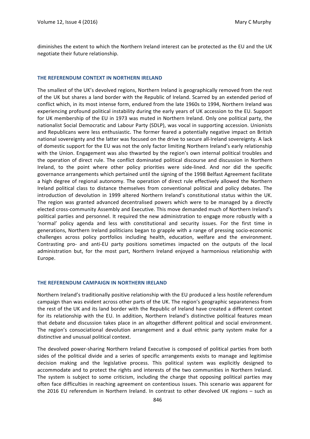diminishes the extent to which the Northern Ireland interest can be protected as the EU and the UK negotiate their future relationship.

#### **THE REFERENDUM CONTEXT IN NORTHERN IRELAND**

The smallest of the UK's devolved regions, Northern Ireland is geographically removed from the rest of the UK but shares a land border with the Republic of Ireland. Scarred by an extended period of conflict which, in its most intense form, endured from the late 1960s to 1994, Northern Ireland was experiencing profound political instability during the early years of UK accession to the EU. Support for UK membership of the EU in 1973 was muted in Northern Ireland. Only one political party, the nationalist Social Democratic and Labour Party (SDLP), was vocal in supporting accession. Unionists and Republicans were less enthusiastic. The former feared a potentially negative impact on British national sovereignty and the latter was focused on the drive to secure all-Ireland sovereignty. A lack of domestic support for the EU was not the only factor limiting Northern Ireland's early relationship with the Union. Engagement was also thwarted by the region's own internal political troubles and the operation of direct rule. The conflict dominated political discourse and discussion in Northern Ireland, to the point where other policy priorities were side-lined. And nor did the specific governance arrangements which pertained until the signing of the 1998 Belfast Agreement facilitate a high degree of regional autonomy. The operation of direct rule effectively allowed the Northern Ireland political class to distance themselves from conventional political and policy debates. The introduction of devolution in 1999 altered Northern Ireland's constitutional status within the UK. The region was granted advanced decentralised powers which were to be managed by a directly elected cross-community Assembly and Executive. This move demanded much of Northern Ireland's political parties and personnel. It required the new administration to engage more robustly with a 'normal' policy agenda and less with constitutional and security issues. For the first time in generations, Northern Ireland politicians began to grapple with a range of pressing socio-economic challenges across policy portfolios including health, education, welfare and the environment. Contrasting pro- and anti-EU party positions sometimes impacted on the outputs of the local administration but, for the most part, Northern Ireland enjoyed a harmonious relationship with Europe. 

#### **THE REFERENDUM CAMPAIGN IN NORTHERN IRELAND**

Northern Ireland's traditionally positive relationship with the EU produced a less hostile referendum campaign than was evident across other parts of the UK. The region's geographic separateness from the rest of the UK and its land border with the Republic of Ireland have created a different context for its relationship with the EU. In addition, Northern Ireland's distinctive political features mean that debate and discussion takes place in an altogether different political and social environment. The region's consociational devolution arrangement and a dual ethnic party system make for a distinctive and unusual political context.

The devolved power-sharing Northern Ireland Executive is composed of political parties from both sides of the political divide and a series of specific arrangements exists to manage and legitimise decision making and the legislative process. This political system was explicitly designed to accommodate and to protect the rights and interests of the two communities in Northern Ireland. The system is subject to some criticism, including the charge that opposing political parties may often face difficulties in reaching agreement on contentious issues. This scenario was apparent for the 2016 EU referendum in Northern Ireland. In contrast to other devolved UK regions - such as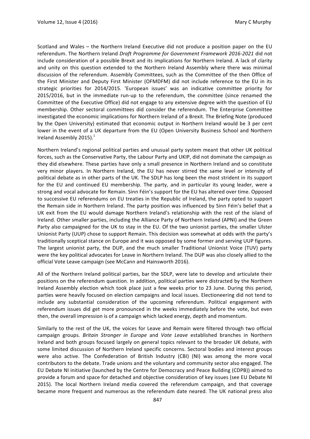Scotland and Wales – the Northern Ireland Executive did not produce a position paper on the EU referendum. The Northern Ireland *Draft Programme for Government Framework* 2016-2021 did not include consideration of a possible Brexit and its implications for Northern Ireland. A lack of clarity and unity on this question extended to the Northern Ireland Assembly where there was minimal discussion of the referendum. Assembly Committees, such as the Committee of the then Office of the First Minister and Deputy First Minister (OFMDFM) did not include reference to the EU in its strategic priorities for 2014/2015. 'European issues' was an indicative committee priority for 2015/2016, but in the immediate run-up to the referendum, the committee (since renamed the Committee of the Executive Office) did not engage to any extensive degree with the question of EU membership. Other sectoral committees did consider the referendum. The Enterprise Committee investigated the economic implications for Northern Ireland of a Brexit. The Briefing Note (produced by the Open University) estimated that economic output in Northern Ireland would be 3 per cent lower in the event of a UK departure from the EU (Open University Business School and Northern Ireland Assembly 2015). $<sup>1</sup>$ </sup>

Northern Ireland's regional political parties and unusual party system meant that other UK political forces, such as the Conservative Party, the Labour Party and UKIP, did not dominate the campaign as they did elsewhere. These parties have only a small presence in Northern Ireland and so constitute very minor players. In Northern Ireland, the EU has never stirred the same level or intensity of political debate as in other parts of the UK. The SDLP has long been the most strident in its support for the EU and continued EU membership. The party, and in particular its young leader, were a strong and vocal advocate for Remain. Sinn Féin's support for the EU has altered over time. Opposed to successive EU referendums on EU treaties in the Republic of Ireland, the party opted to support the Remain side in Northern Ireland. The party position was influenced by Sinn Féin's belief that a UK exit from the EU would damage Northern Ireland's relationship with the rest of the island of Ireland. Other smaller parties, including the Alliance Party of Northern Ireland (APNI) and the Green Party also campaigned for the UK to stay in the EU. Of the two unionist parties, the smaller Ulster Unionist Party (UUP) chose to support Remain. This decision was somewhat at odds with the party's traditionally sceptical stance on Europe and it was opposed by some former and serving UUP figures. The largest unionist party, the DUP, and the much smaller Traditional Unionist Voice (TUV) party were the key political advocates for Leave in Northern Ireland. The DUP was also closely allied to the official Vote Leave campaign (see McCann and Hainsworth 2016).

All of the Northern Ireland political parties, bar the SDLP, were late to develop and articulate their positions on the referendum question. In addition, political parties were distracted by the Northern Ireland Assembly election which took place just a few weeks prior to 23 June. During this period, parties were heavily focused on election campaigns and local issues. Electioneering did not tend to include any substantial consideration of the upcoming referendum. Political engagement with referendum issues did get more pronounced in the weeks immediately before the vote, but even then, the overall impression is of a campaign which lacked energy, depth and momentum.

Similarly to the rest of the UK, the voices for Leave and Remain were filtered through two official campaign groups. *Britain Stronger in Europe* and Vote Leave established branches in Northern Ireland and both groups focused largely on general topics relevant to the broader UK debate, with some limited discussion of Northern Ireland specific concerns. Sectoral bodies and interest groups were also active. The Confederation of British Industry (CBI) (NI) was among the more vocal contributors to the debate. Trade unions and the voluntary and community sector also engaged. The EU Debate NI initiative (launched by the Centre for Democracy and Peace Building (CDPB)) aimed to provide a forum and space for detached and objective consideration of key issues (see EU Debate NI 2015). The local Northern Ireland media covered the referendum campaign, and that coverage became more frequent and numerous as the referendum date neared. The UK national press also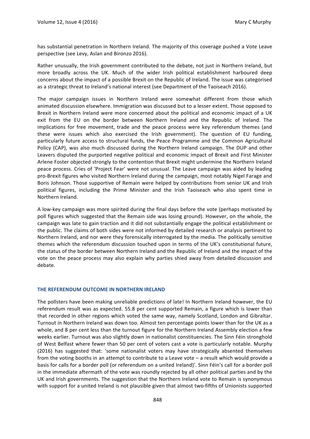has substantial penetration in Northern Ireland. The majority of this coverage pushed a Vote Leave perspective (see Levy, Aslan and Bironzo 2016).

Rather unusually, the Irish government contributed to the debate, not just in Northern Ireland, but more broadly across the UK. Much of the wider Irish political establishment harboured deep concerns about the impact of a possible Brexit on the Republic of Ireland. The issue was categorised as a strategic threat to Ireland's national interest (see Department of the Taoiseach 2016).

The major campaign issues in Northern Ireland were somewhat different from those which animated discussion elsewhere. Immigration was discussed but to a lesser extent. Those opposed to Brexit in Northern Ireland were more concerned about the political and economic impact of a UK exit from the EU on the border between Northern Ireland and the Republic of Ireland. The implications for free movement, trade and the peace process were key referendum themes (and these were issues which also exercised the Irish government). The question of EU funding, particularly future access to structural funds, the Peace Programme and the Common Agricultural Policy (CAP), was also much discussed during the Northern Ireland campaign. The DUP and other Leavers disputed the purported negative political and economic impact of Brexit and First Minister Arlene Foster objected strongly to the contention that Brexit might undermine the Northern Ireland peace process. Cries of 'Project Fear' were not unusual. The Leave campaign was aided by leading pro-Brexit figures who visited Northern Ireland during the campaign, most notably Nigel Farage and Boris Johnson. Those supportive of Remain were helped by contributions from senior UK and Irish political figures, including the Prime Minister and the Irish Taoiseach who also spent time in Northern Ireland.

A low-key campaign was more spirited during the final days before the vote (perhaps motivated by poll figures which suggested that the Remain side was losing ground). However, on the whole, the campaign was late to gain traction and it did not substantially engage the political establishment or the public. The claims of both sides were not informed by detailed research or analysis pertinent to Northern Ireland, and nor were they forensically interrogated by the media. The politically sensitive themes which the referendum discussion touched upon in terms of the UK's constitutional future, the status of the border between Northern Ireland and the Republic of Ireland and the impact of the vote on the peace process may also explain why parties shied away from detailed discussion and debate.

#### **THE REFERENDUM OUTCOME IN NORTHERN IRELAND**

The pollsters have been making unreliable predictions of late! In Northern Ireland however, the EU referendum result was as expected. 55.8 per cent supported Remain, a figure which is lower than that recorded in other regions which voted the same way, namely Scotland, London and Gibraltar. Turnout in Northern Ireland was down too. Almost ten percentage points lower than for the UK as a whole, and 8 per cent less than the turnout figure for the Northern Ireland Assembly election a few weeks earlier. Turnout was also slightly down in nationalist constituencies. The Sinn Féin stronghold of West Belfast where fewer than 50 per cent of voters cast a vote is particularly notable. Murphy (2016) has suggested that: 'some nationalist voters may have strategically absented themselves from the voting booths in an attempt to contribute to a Leave vote – a result which would provide a basis for calls for a border poll (or referendum on a united Ireland)'. Sinn Féin's call for a border poll in the immediate aftermath of the vote was roundly rejected by all other political parties and by the UK and Irish governments. The suggestion that the Northern Ireland vote to Remain is synonymous with support for a united Ireland is not plausible given that almost two-fifths of Unionists supported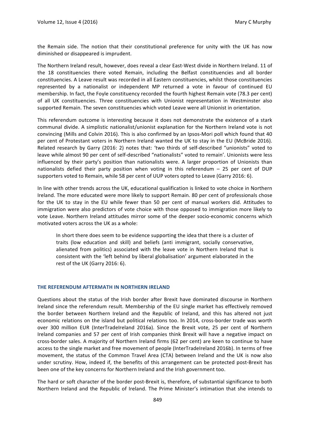the Remain side. The notion that their constitutional preference for unity with the UK has now diminished or disappeared is imprudent.

The Northern Ireland result, however, does reveal a clear East-West divide in Northern Ireland. 11 of the 18 constituencies there voted Remain, including the Belfast constituencies and all border constituencies. A Leave result was recorded in all Eastern constituencies, whilst those constituencies represented by a nationalist or independent MP returned a vote in favour of continued EU membership. In fact, the Foyle constituency recorded the fourth highest Remain vote (78.3 per cent) of all UK constituencies. Three constituencies with Unionist representation in Westminster also supported Remain. The seven constituencies which voted Leave were all Unionist in orientation.

This referendum outcome is interesting because it does not demonstrate the existence of a stark communal divide. A simplistic nationalist/unionist explanation for the Northern Ireland vote is not convincing (Mills and Colvin 2016). This is also confirmed by an Ipsos-Mori poll which found that 40 per cent of Protestant voters in Northern Ireland wanted the UK to stay in the EU (McBride 2016). Related research by Garry (2016: 2) notes that: 'two thirds of self-described "unionists" voted to leave while almost 90 per cent of self-described "nationalists" voted to remain'. Unionists were less influenced by their party's position than nationalists were. A larger proportion of Unionists than nationalists defied their party position when voting in this referendum  $-$  25 per cent of DUP supporters voted to Remain, while 58 per cent of UUP voters opted to Leave (Garry 2016: 6).

In line with other trends across the UK, educational qualification is linked to vote choice in Northern Ireland. The more educated were more likely to support Remain. 80 per cent of professionals chose for the UK to stay in the EU while fewer than 50 per cent of manual workers did. Attitudes to immigration were also predictors of vote choice with those opposed to immigration more likely to vote Leave. Northern Ireland attitudes mirror some of the deeper socio-economic concerns which motivated voters across the UK as a whole:

In short there does seem to be evidence supporting the idea that there is a cluster of traits (low education and skill) and beliefs (anti immigrant, socially conservative, alienated from politics) associated with the leave vote in Northern Ireland that is consistent with the 'left behind by liberal globalisation' argument elaborated in the rest of the UK (Garry 2016: 6).

#### **THE REFERENDUM AFTERMATH IN NORTHERN IRELAND**

Questions about the status of the Irish border after Brexit have dominated discourse in Northern Ireland since the referendum result. Membership of the EU single market has effectively removed the border between Northern Ireland and the Republic of Ireland, and this has altered not just economic relations on the island but political relations too. In 2014, cross-border trade was worth over 300 million EUR (InterTradeIreland 2016a). Since the Brexit vote, 25 per cent of Northern Ireland companies and 57 per cent of Irish companies think Brexit will have a negative impact on cross-border sales. A majority of Northern Ireland firms (62 per cent) are keen to continue to have access to the single market and free movement of people (InterTradeIreland 2016b). In terms of free movement, the status of the Common Travel Area (CTA) between Ireland and the UK is now also under scrutiny. How, indeed if, the benefits of this arrangement can be protected post-Brexit has been one of the key concerns for Northern Ireland and the Irish government too.

The hard or soft character of the border post-Brexit is, therefore, of substantial significance to both Northern Ireland and the Republic of Ireland. The Prime Minister's intimation that she intends to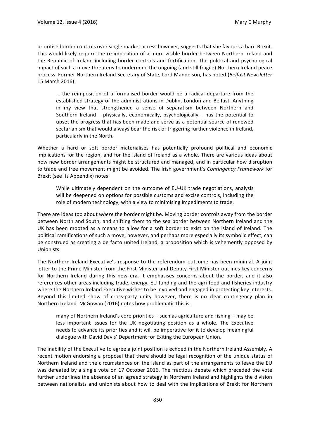prioritise border controls over single market access however, suggests that she favours a hard Brexit. This would likely require the re-imposition of a more visible border between Northern Ireland and the Republic of Ireland including border controls and fortification. The political and psychological impact of such a move threatens to undermine the ongoing (and still fragile) Northern Ireland peace process. Former Northern Ireland Secretary of State, Lord Mandelson, has noted (*Belfast Newsletter* 15 March 2016): 

... the reimposition of a formalised border would be a radical departure from the established strategy of the administrations in Dublin, London and Belfast. Anything in my view that strengthened a sense of separatism between Northern and Southern Ireland – physically, economically, psychologically – has the potential to upset the progress that has been made and serve as a potential source of renewed sectarianism that would always bear the risk of triggering further violence in Ireland, particularly in the North.

Whether a hard or soft border materialises has potentially profound political and economic implications for the region, and for the island of Ireland as a whole. There are various ideas about how new border arrangements might be structured and managed, and in particular how disruption to trade and free movement might be avoided. The Irish government's *Contingency Framework* for Brexit (see its Appendix) notes:

While ultimately dependent on the outcome of EU-UK trade negotiations, analysis will be deepened on options for possible customs and excise controls, including the role of modern technology, with a view to minimising impediments to trade.

There are ideas too about where the border might be. Moving border controls away from the border between North and South, and shifting them to the sea border between Northern Ireland and the UK has been mooted as a means to allow for a soft border to exist on the island of Ireland. The political ramifications of such a move, however, and perhaps more especially its symbolic effect, can be construed as creating a de facto united Ireland, a proposition which is vehemently opposed by Unionists. 

The Northern Ireland Executive's response to the referendum outcome has been minimal. A joint letter to the Prime Minister from the First Minister and Deputy First Minister outlines key concerns for Northern Ireland during this new era. It emphasises concerns about the border, and it also references other areas including trade, energy, EU funding and the agri-food and fisheries industry where the Northern Ireland Executive wishes to be involved and engaged in protecting key interests. Beyond this limited show of cross-party unity however, there is no clear contingency plan in Northern Ireland. McGowan (2016) notes how problematic this is:

many of Northern Ireland's core priorities  $-$  such as agriculture and fishing  $-$  may be less important issues for the UK negotiating position as a whole. The Executive needs to advance its priorities and it will be imperative for it to develop meaningful dialogue with David Davis' Department for Exiting the European Union.

The inability of the Executive to agree a joint position is echoed in the Northern Ireland Assembly. A recent motion endorsing a proposal that there should be legal recognition of the unique status of Northern Ireland and the circumstances on the island as part of the arrangements to leave the EU was defeated by a single vote on 17 October 2016. The fractious debate which preceded the vote further underlines the absence of an agreed strategy in Northern Ireland and highlights the division between nationalists and unionists about how to deal with the implications of Brexit for Northern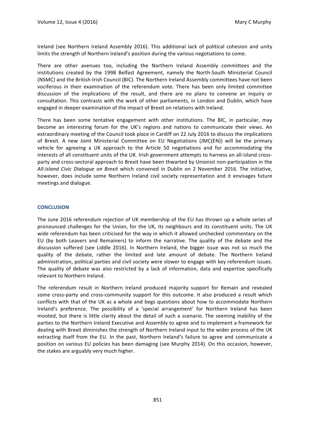Ireland (see Northern Ireland Assembly 2016). This additional lack of political cohesion and unity limits the strength of Northern Ireland's position during the various negotiations to come.

There are other avenues too, including the Northern Ireland Assembly committees and the institutions created by the 1998 Belfast Agreement, namely the North-South Ministerial Council (NSMC) and the British-Irish Council (BIC). The Northern Ireland Assembly committees have not been vociferous in their examination of the referendum vote. There has been only limited committee discussion of the implications of the result, and there are no plans to convene an inquiry or consultation. This contrasts with the work of other parliaments, in London and Dublin, which have engaged in deeper examination of the impact of Brexit on relations with Ireland.

There has been some tentative engagement with other institutions. The BIC, in particular, may become an interesting forum for the UK's regions and nations to communicate their views. An extraordinary meeting of the Council took place in Cardiff on 22 July 2016 to discuss the implications of Brexit. A new Joint Ministerial Committee on EU Negotiations (JMC(EN)) will be the primary vehicle for agreeing a UK approach to the Article 50 negotiations and for accommodating the interests of all constituent units of the UK. Irish government attempts to harness an all-island crossparty and cross-sectoral approach to Brexit have been thwarted by Unionist non-participation in the *All-Island Civic Dialoque on Brexit* which convened in Dublin on 2 November 2016. The initiative, however, does include some Northern Ireland civil society representation and it envisages future meetings and dialogue.

#### **CONCLUSION**

The June 2016 referendum rejection of UK membership of the EU has thrown up a whole series of pronounced challenges for the Union, for the UK, its neighbours and its constituent units. The UK wide referendum has been criticised for the way in which it allowed unchecked commentary on the EU (by both Leavers and Remainers) to inform the narrative. The quality of the debate and the discussion suffered (see Liddle 2016). In Northern Ireland, the bigger issue was not so much the quality of the debate, rather the limited and late amount of debate. The Northern Ireland administration, political parties and civil society were slower to engage with key referendum issues. The quality of debate was also restricted by a lack of information, data and expertise specifically relevant to Northern Ireland.

The referendum result in Northern Ireland produced majority support for Remain and revealed some cross-party and cross-community support for this outcome. It also produced a result which conflicts with that of the UK as a whole and begs questions about how to accommodate Northern Ireland's preference. The possibility of a 'special arrangement' for Northern Ireland has been mooted, but there is little clarity about the detail of such a scenario. The seeming inability of the parties to the Northern Ireland Executive and Assembly to agree and to implement a framework for dealing with Brexit diminishes the strength of Northern Ireland input to the wider process of the UK extracting itself from the EU. In the past, Northern Ireland's failure to agree and communicate a position on various EU policies has been damaging (see Murphy 2014). On this occasion, however, the stakes are arguably very much higher.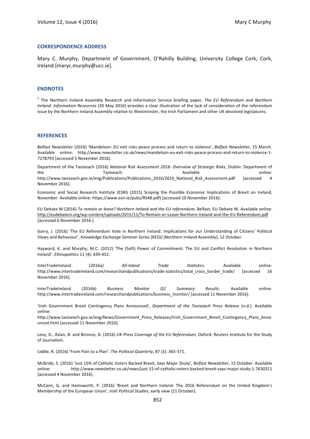#### **CORRESPONDENCE ADDRESS**

Mary C. Murphy, Department of Government, O'Rahilly Building, University College Cork, Cork, Ireland [maryc.murphy@ucc.ie].

#### **ENDNOTES**

<sup>1</sup> The Northern Ireland Assembly Research and Information Service briefing paper, The EU Referendum and Northern *Ireland: Information Resources* (20 May 2016) provides a clear illustration of the lack of consideration of the referendum issue by the Northern Ireland Assembly relative to Westminster, the Irish Parliament and other UK devolved legislatures.

#### **REFERENCES**

Belfast Newsletter (2016) 'Mandelson: EU exit risks peace process and return to violence', *Belfast Newsletter*, 15 March. Available online: http://www.newsletter.co.uk/news/mandelson-eu-exit-risks-peace-process-and-return-to-violence-1-7278793 [accessed 5 November 2016].

Department of the Taoiseach (2016) National Risk Assessment 2016: Overview of Strategic Risks, Dublin: Department of the the state online: Taoiseach. The state online: Available the state online:

http://www.taoiseach.gov.ie/eng/Publications/Publications\_2016/2016\_National\_Risk\_Assessment.pdf [accessed 4 November 2016]. 

Economic and Social Research Institute (ESRI) (2015) Scoping the Possible Economic Implications of Brexit on Ireland, November. Available online: https://www.esri.ie/pubs/RS48.pdf) [accessed 10 November 2016].

EU Debate NI (2016) To remain or leave? Northern Ireland and the EU referendum, Belfast: EU Debate NI, Available online: <http://eudebateni.org/wp-content/uploads/2015/11/To-Remain-or-Leave-Northern-Ireland-and-the-EU-Referendum.pdf> [accessed 6 November 2016.]

Garry, J. (2016) 'The EU Referendum Vote in Northern Ireland: Implications for our Understanding of Citizens' Political Views and Behaviour', *Knowledge Exchange Seminar Series (KESS)* (Northern Ireland Assembly), 12 October.

Hayward, K. and Murphy, M.C. (2012) 'The (Soft) Power of Commitment: The EU and Conflict Resolution in Northern Ireland'. *Ethnopolitics* 11 (4): 439-452. 

InterTradeIreland (2016a) *All-Island Trade* Statistics. Available online: http://www.intertradeireland.com/researchandpublications/trade-statistics/total\_cross\_border\_trade/ [accessed 16 November 2016]. 

InterTradeIreland (2016b) *Business Monitor Q2 Summary Results*. Available online: http://www.intertradeireland.com/researchandpublications/business\_monitor/ [accessed 11 November 2016].

'Irish Government Brexit Contingency Plans Announced', *Department of the Taoiseach Press Release* (n.d.). Available online: 

http://www.taoiseach.gov.ie/eng/News/Government\_Press\_Releases/Irish\_Government\_Brexit\_Contingency\_Plans\_Anno unced.html [accessed 11 November 2016].

Levy, D., Aslan, B. and Bironzo, D. (2016) UK Press Coverage of the EU Referendum, Oxford: Reuters Institute for the Study of Journalism.

Liddle, R. (2016) 'From Pain to a Plan'. *The Political Quarterly*, 87 (3): 365-371. 

McBride, S. (2016) 'Just 15% of Catholic Voters Backed Brexit, Says Major Study', Belfast Newsletter, 15 October. Available online: http://www.newsletter.co.uk/news/just-15-of-catholic-voters-backed-brexit-says-major-study-1-7630311 [accessed 4 November 2016]. 

McCann, G. and Hainsworth, P. (2016) 'Brexit and Northern Ireland: The 2016 Referendum on the United Kingdom's Membership of the European Union', Irish Political Studies, early view (21 October).